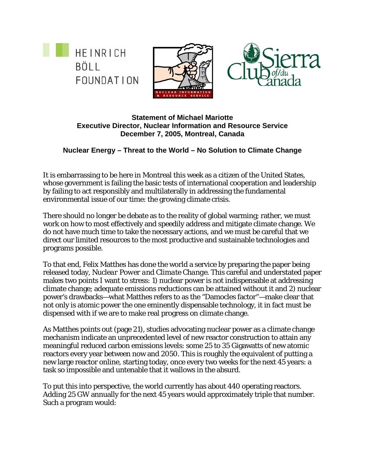





**Statement of Michael Mariotte Executive Director, Nuclear Information and Resource Service December 7, 2005, Montreal, Canada** 

## **Nuclear Energy – Threat to the World – No Solution to Climate Change**

It is embarrassing to be here in Montreal this week as a citizen of the United States, whose government is failing the basic tests of international cooperation and leadership by failing to act responsibly and multilaterally in addressing the fundamental environmental issue of our time: the growing climate crisis.

There should no longer be debate as to the reality of global warming; rather, we must work on how to most effectively and speedily address and mitigate climate change. We do not have much time to take the necessary actions, and we must be careful that we direct our limited resources to the most productive and sustainable technologies and programs possible.

To that end, Felix Matthes has done the world a service by preparing the paper being released today, *Nuclear Power and Climate Change*. This careful and understated paper makes two points I want to stress: 1) nuclear power is not indispensable at addressing climate change; adequate emissions reductions can be attained without it and 2) nuclear power's drawbacks—what Matthes refers to as the "Damocles factor"—make clear that not only is atomic power the one eminently dispensable technology, it in fact must be dispensed with if we are to make real progress on climate change.

As Matthes points out (page 21), studies advocating nuclear power as a climate change mechanism indicate an unprecedented level of new reactor construction to attain any meaningful reduced carbon emissions levels: some 25 to 35 Gigawatts of new atomic reactors every year between now and 2050. This is roughly the equivalent of putting a new large reactor online, starting today, once every two weeks for the next 45 years: a task so impossible and untenable that it wallows in the absurd.

To put this into perspective, the world currently has about 440 operating reactors. Adding 25 GW annually for the next 45 years would approximately triple that number. Such a program would: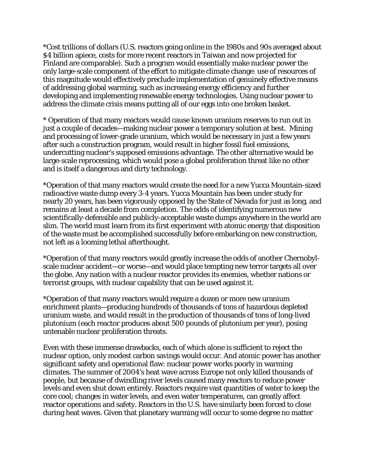\*Cost trillions of dollars (U.S. reactors going online in the 1980s and 90s averaged about \$4 billion apiece, costs for more recent reactors in Taiwan and now projected for Finland are comparable). Such a program would essentially make nuclear power the only large-scale component of the effort to mitigate climate change: use of resources of this magnitude would effectively preclude implementation of genuinely effective means of addressing global warming, such as increasing energy efficiency and further developing and implementing renewable energy technologies. Using nuclear power to address the climate crisis means putting all of our eggs into one broken basket.

\* Operation of that many reactors would cause known uranium reserves to run out in just a couple of decades—making nuclear power a temporary solution at best. Mining and processing of lower-grade uranium, which would be necessary in just a few years after such a construction program, would result in higher fossil fuel emissions, undercutting nuclear's supposed emissions advantage. The other alternative would be large-scale reprocessing, which would pose a global proliferation threat like no other and is itself a dangerous and dirty technology.

\*Operation of that many reactors would create the need for a new Yucca Mountain-sized radioactive waste dump every 3-4 years. Yucca Mountain has been under study for nearly 20 years, has been vigorously opposed by the State of Nevada for just as long, and remains at least a decade from completion. The odds of identifying numerous new scientifically-defensible and publicly-acceptable waste dumps anywhere in the world are slim. The world must learn from its first experiment with atomic energy that disposition of the waste must be accomplished successfully *before* embarking on new construction, not left as a looming lethal afterthought.

\*Operation of that many reactors would greatly increase the odds of another Chernobylscale nuclear accident—or worse—and would place tempting new terror targets all over the globe. Any nation with a nuclear reactor provides its enemies, whether nations or terrorist groups, with nuclear capability that can be used against it.

\*Operation of that many reactors would require a dozen or more new uranium enrichment plants—producing hundreds of thousands of tons of hazardous depleted uranium waste, and would result in the production of thousands of tons of long-lived plutonium (each reactor produces about 500 pounds of plutonium per year), posing untenable nuclear proliferation threats.

Even with these immense drawbacks, each of which alone is sufficient to reject the nuclear option, only modest carbon savings would occur. And atomic power has another significant safety and operational flaw: nuclear power works poorly in warming climates. The summer of 2004's heat wave across Europe not only killed thousands of people, but because of dwindling river levels caused many reactors to reduce power levels and even shut down entirely. Reactors require vast quantities of water to keep the core cool; changes in water levels, and even water temperatures, can greatly affect reactor operations and safety. Reactors in the U.S. have similarly been forced to close during heat waves. Given that planetary warming will occur to some degree no matter